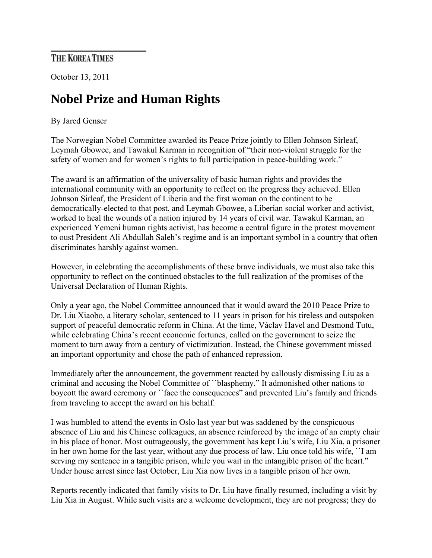## THE KOREA TIMES

October 13, 2011

## **Nobel Prize and Human Rights**

## By Jared Genser

The Norwegian Nobel Committee awarded its Peace Prize jointly to Ellen Johnson Sirleaf, Leymah Gbowee, and Tawakul Karman in recognition of "their non-violent struggle for the safety of women and for women's rights to full participation in peace-building work."

The award is an affirmation of the universality of basic human rights and provides the international community with an opportunity to reflect on the progress they achieved. Ellen Johnson Sirleaf, the President of Liberia and the first woman on the continent to be democratically-elected to that post, and Leymah Gbowee, a Liberian social worker and activist, worked to heal the wounds of a nation injured by 14 years of civil war. Tawakul Karman, an experienced Yemeni human rights activist, has become a central figure in the protest movement to oust President Ali Abdullah Saleh's regime and is an important symbol in a country that often discriminates harshly against women.

However, in celebrating the accomplishments of these brave individuals, we must also take this opportunity to reflect on the continued obstacles to the full realization of the promises of the Universal Declaration of Human Rights.

Only a year ago, the Nobel Committee announced that it would award the 2010 Peace Prize to Dr. Liu Xiaobo, a literary scholar, sentenced to 11 years in prison for his tireless and outspoken support of peaceful democratic reform in China. At the time, Václav Havel and Desmond Tutu, while celebrating China's recent economic fortunes, called on the government to seize the moment to turn away from a century of victimization. Instead, the Chinese government missed an important opportunity and chose the path of enhanced repression.

Immediately after the announcement, the government reacted by callously dismissing Liu as a criminal and accusing the Nobel Committee of ``blasphemy." It admonished other nations to boycott the award ceremony or ``face the consequences" and prevented Liu's family and friends from traveling to accept the award on his behalf.

I was humbled to attend the events in Oslo last year but was saddened by the conspicuous absence of Liu and his Chinese colleagues, an absence reinforced by the image of an empty chair in his place of honor. Most outrageously, the government has kept Liu's wife, Liu Xia, a prisoner in her own home for the last year, without any due process of law. Liu once told his wife, ``I am serving my sentence in a tangible prison, while you wait in the intangible prison of the heart." Under house arrest since last October, Liu Xia now lives in a tangible prison of her own.

Reports recently indicated that family visits to Dr. Liu have finally resumed, including a visit by Liu Xia in August. While such visits are a welcome development, they are not progress; they do